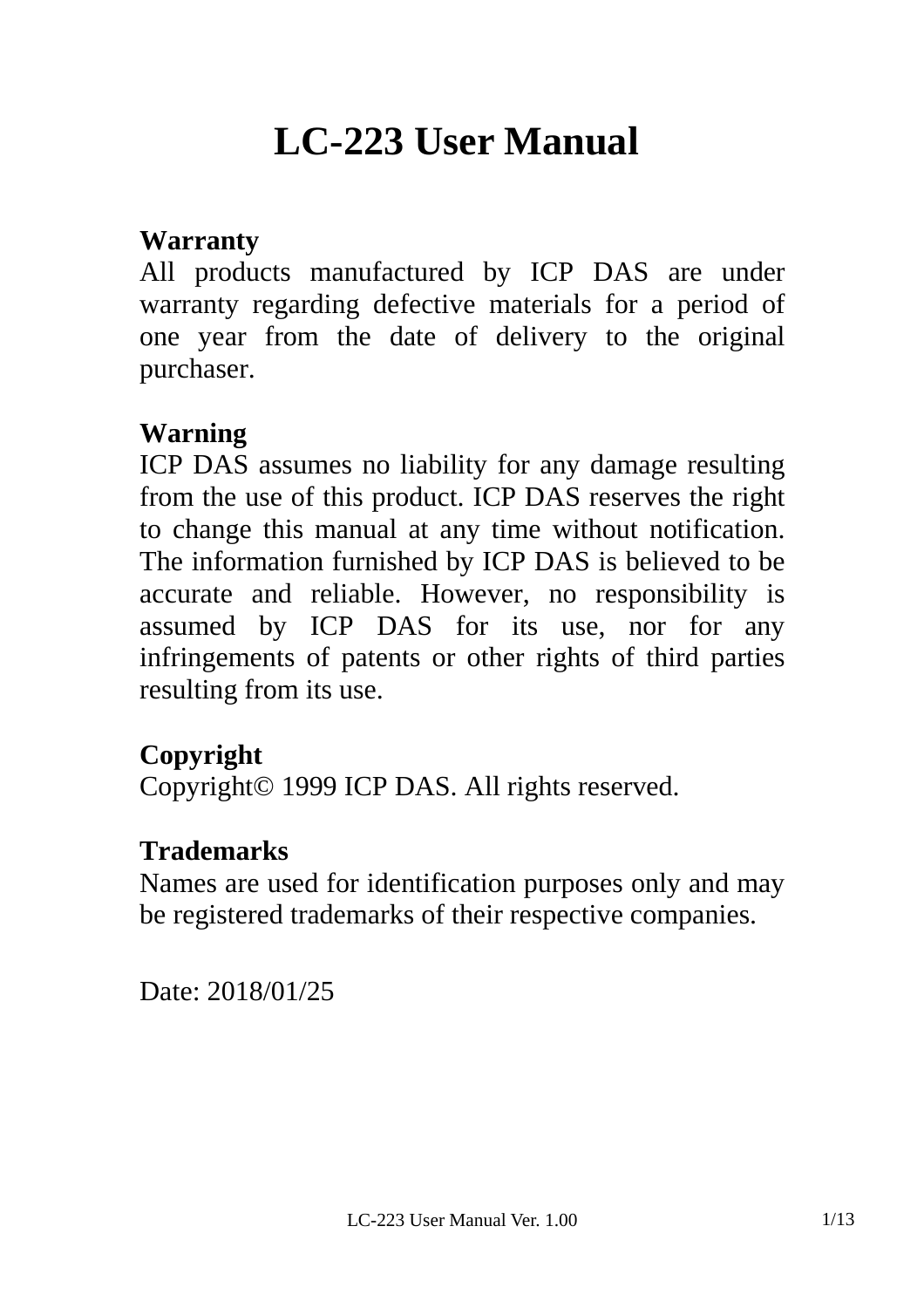# **LC-223 User Manual**

#### **Warranty**

All products manufactured by ICP DAS are under warranty regarding defective materials for a period of one year from the date of delivery to the original purchaser.

#### **Warning**

ICP DAS assumes no liability for any damage resulting from the use of this product. ICP DAS reserves the right to change this manual at any time without notification. The information furnished by ICP DAS is believed to be accurate and reliable. However, no responsibility is assumed by ICP DAS for its use, nor for any infringements of patents or other rights of third parties resulting from its use.

#### **Copyright**

Copyright© 1999 ICP DAS. All rights reserved.

#### **Trademarks**

Names are used for identification purposes only and may be registered trademarks of their respective companies.

Date: 2018/01/25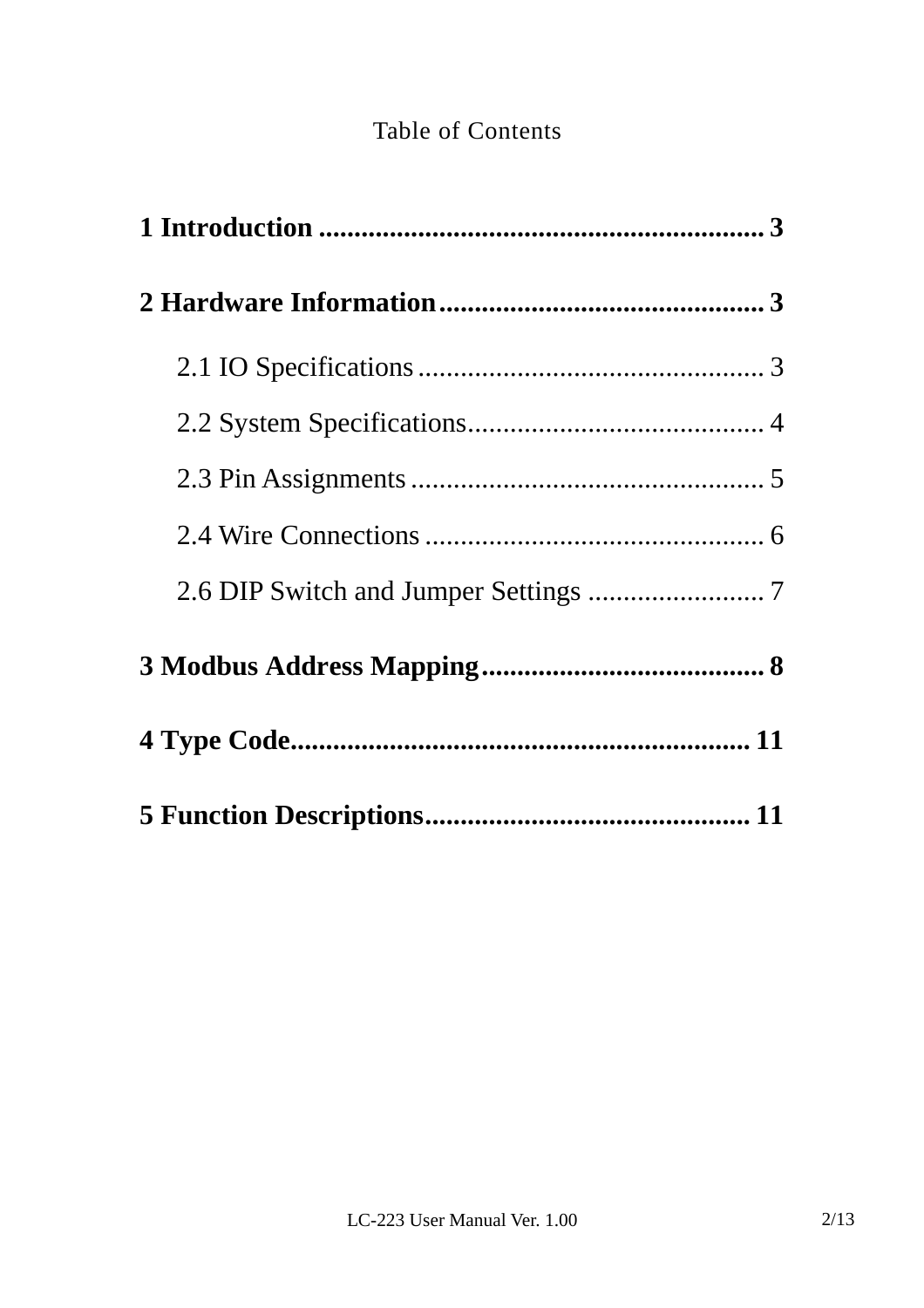### Table of Contents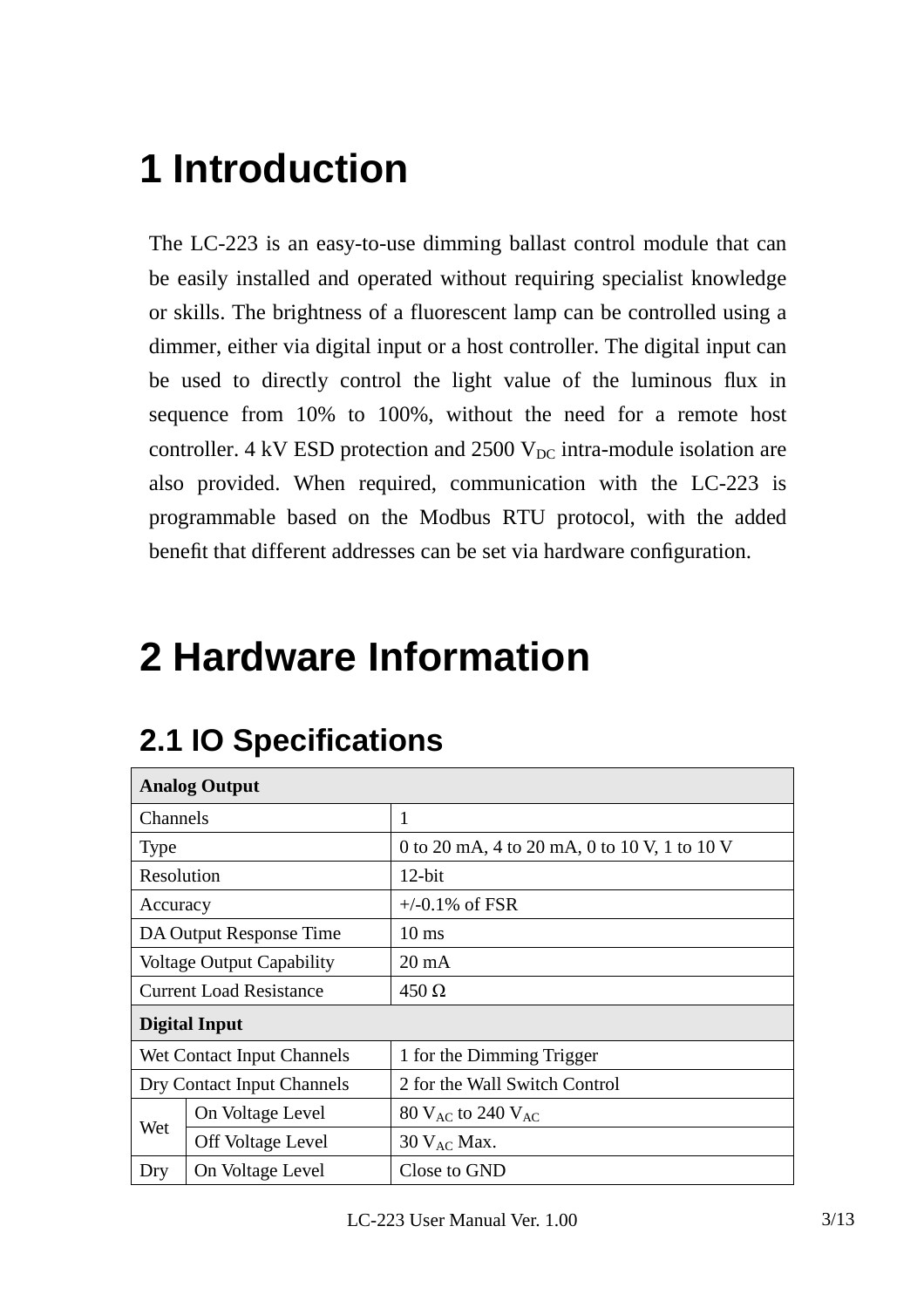# **1 Introduction**

The LC-223 is an easy-to-use dimming ballast control module that can be easily installed and operated without requiring specialist knowledge or skills. The brightness of a fluorescent lamp can be controlled using a dimmer, either via digital input or a host controller. The digital input can be used to directly control the light value of the luminous flux in sequence from 10% to 100%, without the need for a remote host controller. 4 kV ESD protection and  $2500$  V<sub>DC</sub> intra-module isolation are also provided. When required, communication with the LC-223 is programmable based on the Modbus RTU protocol, with the added benefit that different addresses can be set via hardware configuration.

# **2 Hardware Information**

| <b>Analog Output</b>       |                                  |                                              |  |
|----------------------------|----------------------------------|----------------------------------------------|--|
| Channels                   |                                  | $\mathbf{1}$                                 |  |
| <b>Type</b>                |                                  | 0 to 20 mA, 4 to 20 mA, 0 to 10 V, 1 to 10 V |  |
| Resolution                 |                                  | $12$ -bit                                    |  |
| Accuracy                   |                                  | $+/-0.1\%$ of FSR                            |  |
|                            | DA Output Response Time          | $10 \text{ ms}$                              |  |
|                            | <b>Voltage Output Capability</b> | $20 \text{ mA}$                              |  |
|                            | <b>Current Load Resistance</b>   | $450 \Omega$                                 |  |
|                            | Digital Input                    |                                              |  |
|                            | Wet Contact Input Channels       | 1 for the Dimming Trigger                    |  |
| Dry Contact Input Channels |                                  | 2 for the Wall Switch Control                |  |
|                            | On Voltage Level                 | $80$ V <sub>AC</sub> to 240 V <sub>AC</sub>  |  |
| Wet                        | <b>Off Voltage Level</b>         | $30$ V <sub>AC</sub> Max.                    |  |
| Dry                        | On Voltage Level                 | Close to GND                                 |  |

## **2.1 IO Specifications**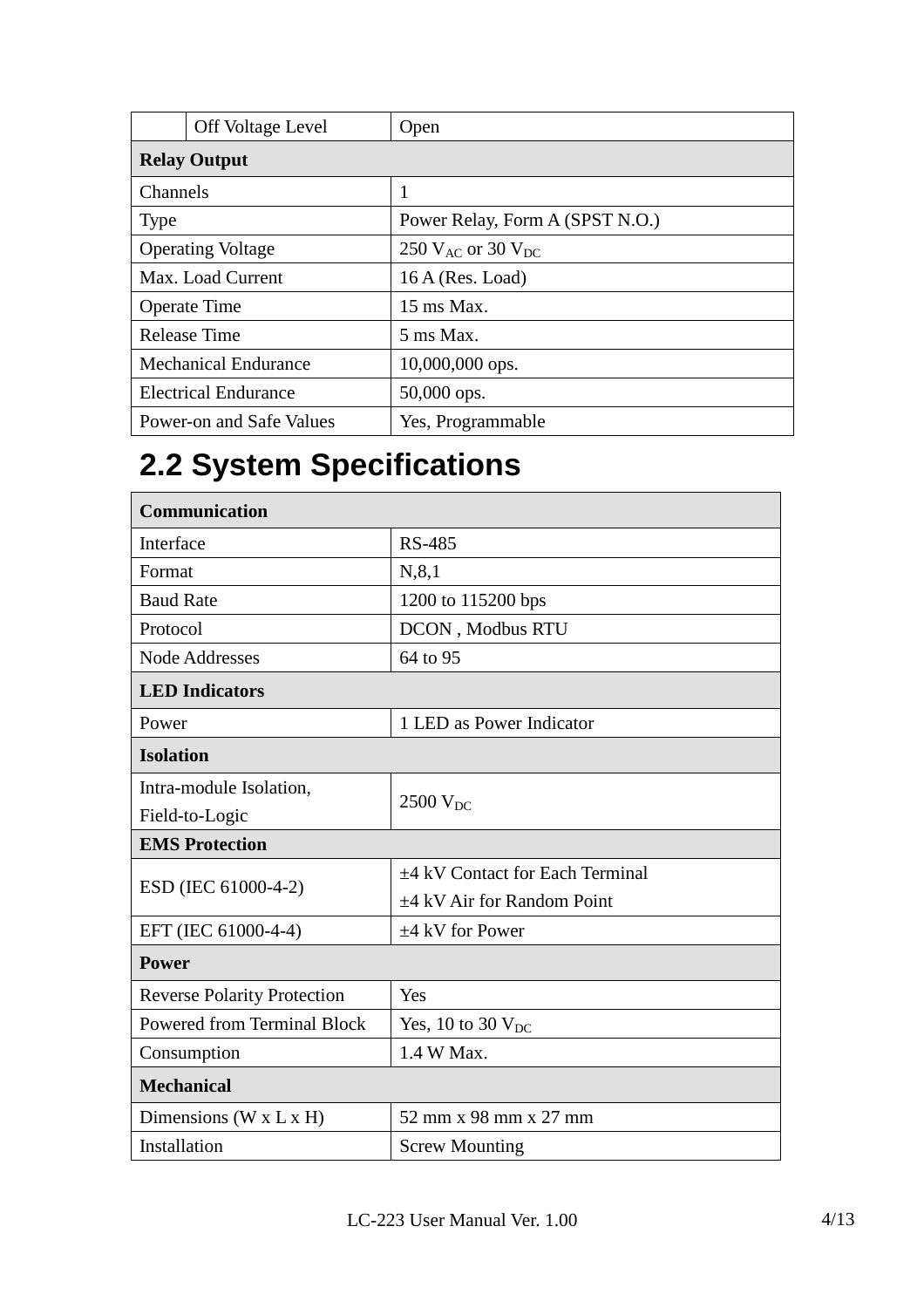|             | <b>Off Voltage Level</b>    | Open                            |
|-------------|-----------------------------|---------------------------------|
|             | <b>Relay Output</b>         |                                 |
| Channels    |                             | 1                               |
| <b>Type</b> |                             | Power Relay, Form A (SPST N.O.) |
|             | <b>Operating Voltage</b>    | 250 $V_{AC}$ or 30 $V_{DC}$     |
|             | Max. Load Current           | $16A$ (Res. Load)               |
|             | <b>Operate Time</b>         | $15 \text{ ms } \text{Max}$ .   |
|             | Release Time                | 5 ms Max.                       |
|             | <b>Mechanical Endurance</b> | 10,000,000 ops.                 |
|             | <b>Electrical Endurance</b> | $50,000$ ops.                   |
|             | Power-on and Safe Values    | Yes, Programmable               |

## **2.2 System Specifications**

| <b>Communication</b>               |                                      |  |  |
|------------------------------------|--------------------------------------|--|--|
| Interface                          | <b>RS-485</b>                        |  |  |
| Format                             | N, 8, 1                              |  |  |
| <b>Baud Rate</b>                   | 1200 to 115200 bps                   |  |  |
| Protocol                           | DCON, Modbus RTU                     |  |  |
| <b>Node Addresses</b>              | 64 to 95                             |  |  |
| <b>LED</b> Indicators              |                                      |  |  |
| Power                              | 1 LED as Power Indicator             |  |  |
| <b>Isolation</b>                   |                                      |  |  |
| Intra-module Isolation,            |                                      |  |  |
| Field-to-Logic                     | $2500$ V <sub>DC</sub>               |  |  |
|                                    |                                      |  |  |
| <b>EMS Protection</b>              |                                      |  |  |
|                                    | $\pm$ 4 kV Contact for Each Terminal |  |  |
| ESD (IEC 61000-4-2)                | $\pm$ 4 kV Air for Random Point      |  |  |
| EFT (IEC 61000-4-4)                | $\pm 4$ kV for Power                 |  |  |
| <b>Power</b>                       |                                      |  |  |
| <b>Reverse Polarity Protection</b> | Yes                                  |  |  |
| <b>Powered from Terminal Block</b> | Yes, 10 to 30 $V_{DC}$               |  |  |
| Consumption                        | 1.4 W Max.                           |  |  |
| <b>Mechanical</b>                  |                                      |  |  |
| Dimensions (W x L x H)             | 52 mm x 98 mm x 27 mm                |  |  |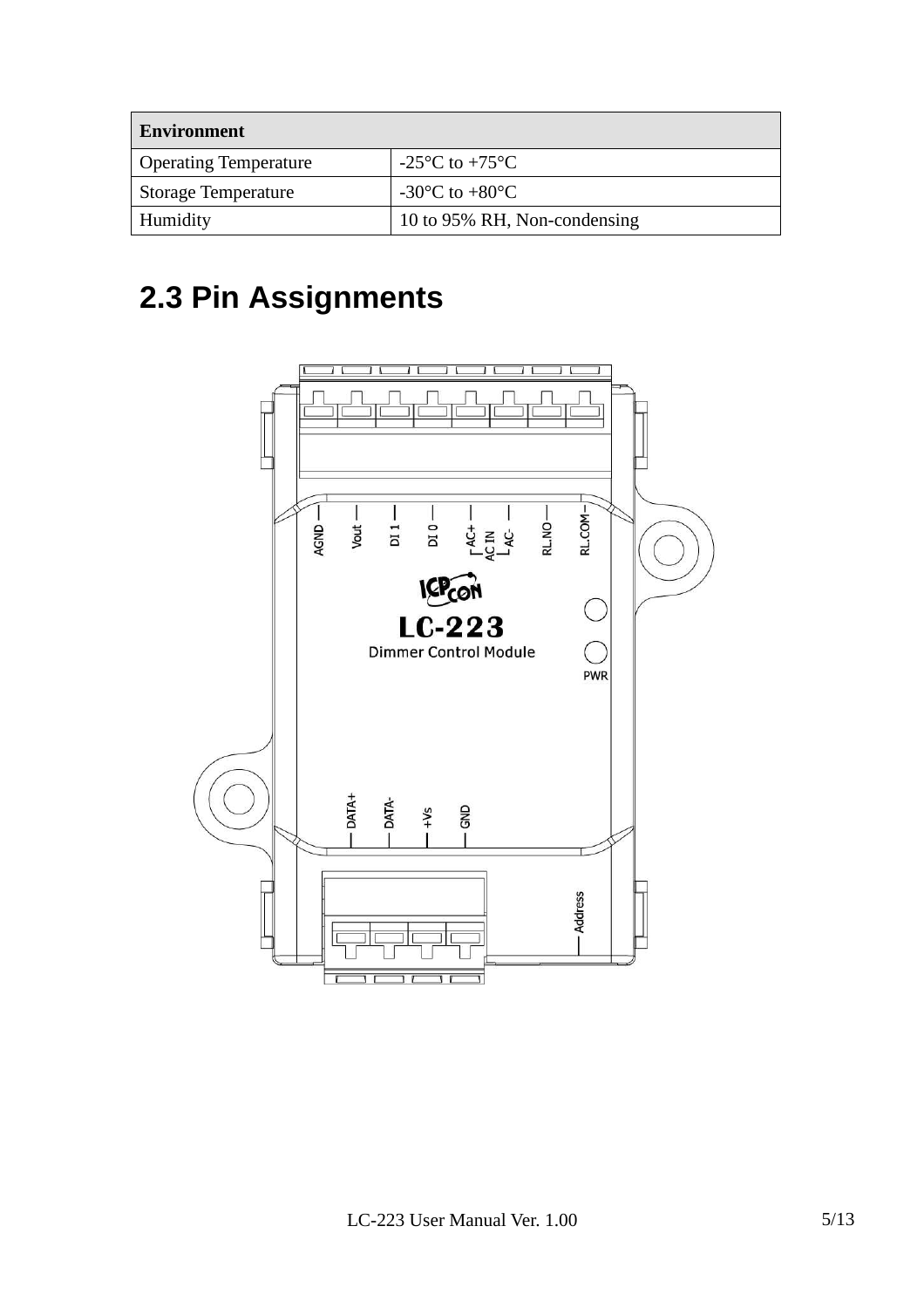| <b>Environment</b>           |                                                      |  |  |
|------------------------------|------------------------------------------------------|--|--|
| <b>Operating Temperature</b> | $-25^{\circ}$ C to $+75^{\circ}$ C                   |  |  |
| <b>Storage Temperature</b>   | -30 $\mathrm{^{\circ}C}$ to +80 $\mathrm{^{\circ}C}$ |  |  |
| Humidity                     | 10 to 95% RH, Non-condensing                         |  |  |

## **2.3 Pin Assignments**

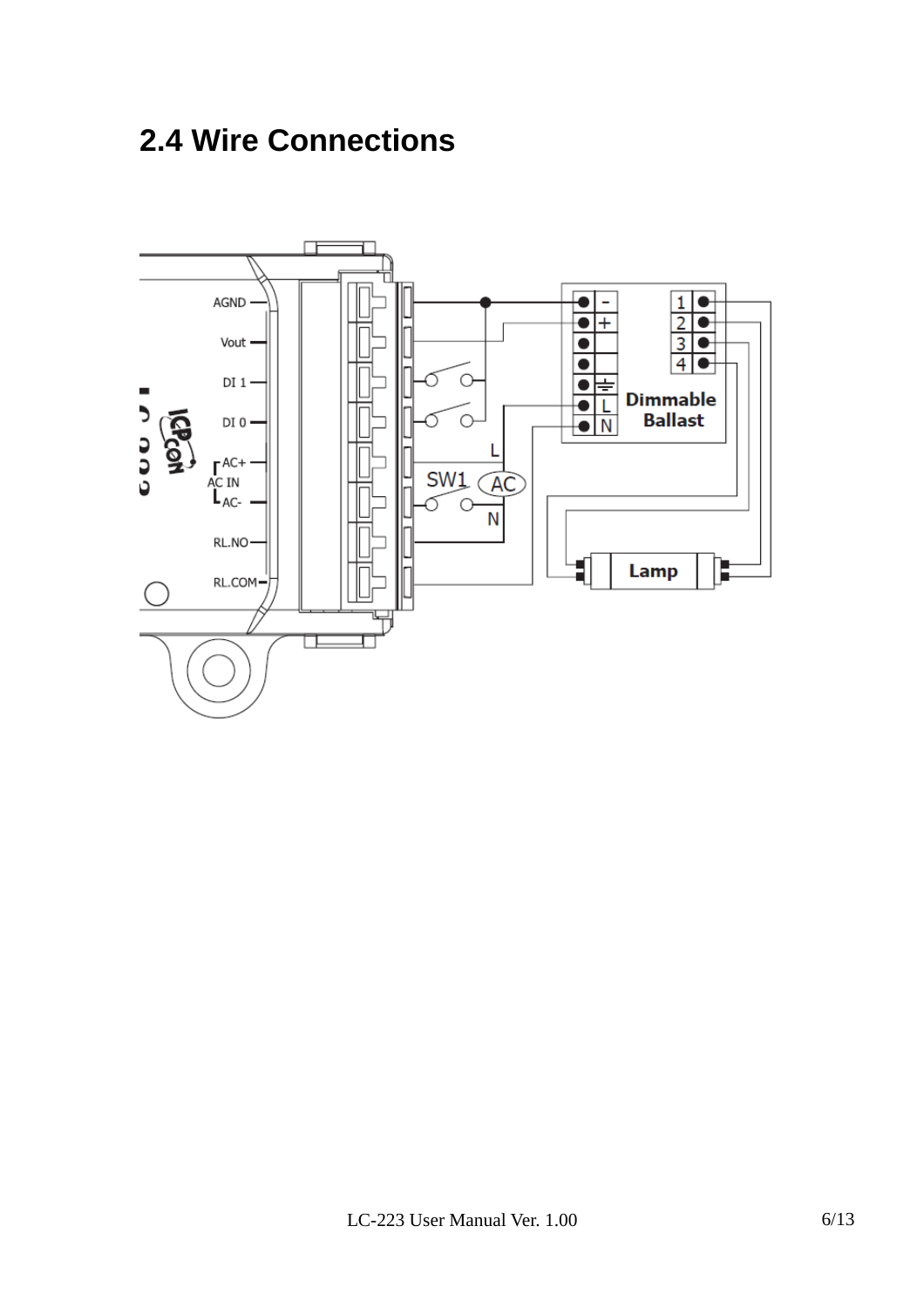## **2.4 Wire Connections**

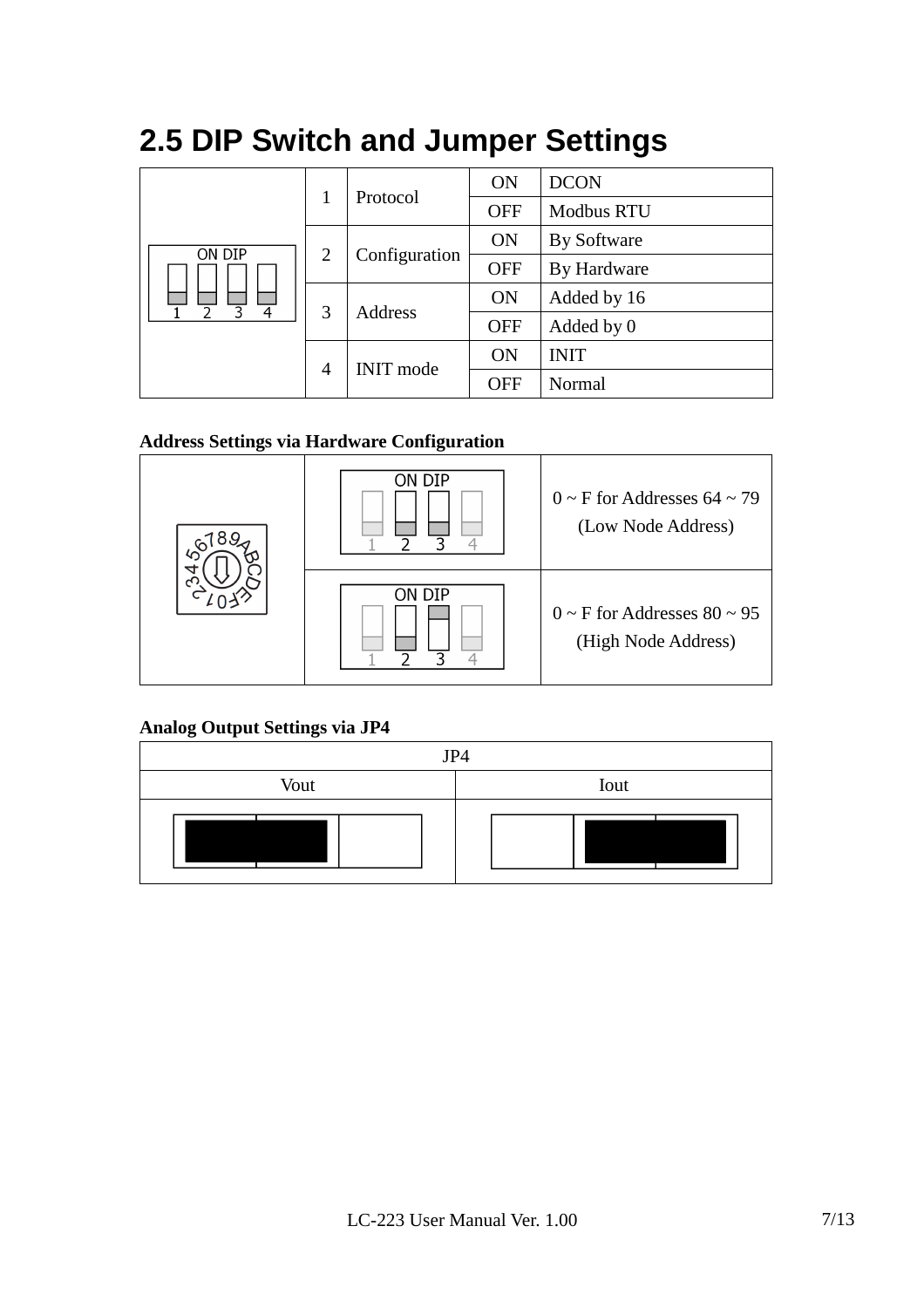| ON DIP      |                                    | Protocol      | <b>ON</b>  | <b>DCON</b>       |
|-------------|------------------------------------|---------------|------------|-------------------|
|             |                                    |               | <b>OFF</b> | <b>Modbus RTU</b> |
|             | 2                                  | Configuration | <b>ON</b>  | By Software       |
|             |                                    |               | <b>OFF</b> | By Hardware       |
| 3<br>4<br>ገ | 3                                  | Address       | <b>ON</b>  | Added by 16       |
|             |                                    |               | <b>OFF</b> | Added by 0        |
|             | <b>INIT</b> mode<br>$\overline{4}$ |               | <b>ON</b>  | <b>INIT</b>       |
|             |                                    | <b>OFF</b>    | Normal     |                   |

## **2.5 DIP Switch and Jumper Settings**

#### **Address Settings via Hardware Configuration**



**Analog Output Settings via JP4** 

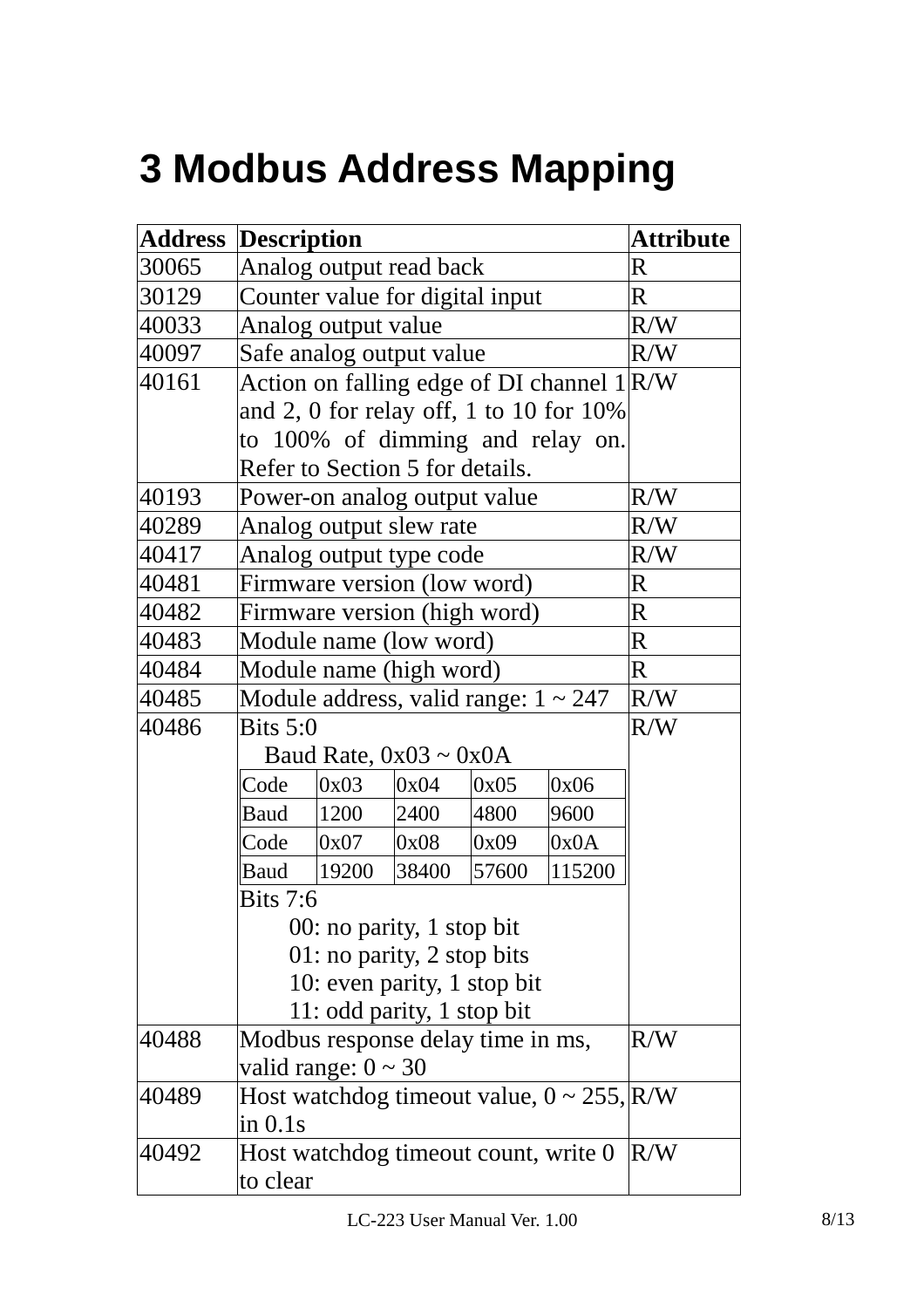# **3 Modbus Address Mapping**

|       | <b>Address Description</b>      |                                           |       |       | <b>Attribute</b>                                |             |
|-------|---------------------------------|-------------------------------------------|-------|-------|-------------------------------------------------|-------------|
| 30065 | Analog output read back         |                                           |       |       |                                                 | $\mathbf R$ |
| 30129 | Counter value for digital input |                                           |       |       | $\mathbf R$                                     |             |
| 40033 |                                 | Analog output value                       |       |       |                                                 | R/W         |
| 40097 |                                 | Safe analog output value                  |       |       |                                                 | R/W         |
| 40161 |                                 |                                           |       |       | Action on falling edge of DI channel $1 R/W$    |             |
|       |                                 |                                           |       |       | and 2, 0 for relay off, 1 to 10 for $10\%$      |             |
|       |                                 |                                           |       |       | to 100% of dimming and relay on.                |             |
|       |                                 | Refer to Section 5 for details.           |       |       |                                                 |             |
| 40193 |                                 | Power-on analog output value              |       |       |                                                 | R/W         |
| 40289 |                                 | Analog output slew rate                   |       |       |                                                 | R/W         |
| 40417 |                                 | Analog output type code                   |       |       |                                                 | R/W         |
| 40481 |                                 | Firmware version (low word)               |       |       |                                                 | R           |
| 40482 |                                 | Firmware version (high word)              |       |       |                                                 | $\mathbf R$ |
| 40483 |                                 | Module name (low word)                    |       |       |                                                 | $\mathbf R$ |
| 40484 |                                 | Module name (high word)                   |       |       |                                                 | $\bf R$     |
| 40485 |                                 | Module address, valid range: $1 \sim 247$ |       |       |                                                 | R/W         |
| 40486 | <b>Bits 5:0</b>                 |                                           |       |       |                                                 | R/W         |
|       |                                 | Baud Rate, $0x03 \sim 0x0A$               |       |       |                                                 |             |
|       | Code                            | 0x03                                      | 0x04  | 0x05  | 0x06                                            |             |
|       | <b>Baud</b>                     | 1200                                      | 2400  | 4800  | 9600                                            |             |
|       | Code                            | 0x07                                      | 0x08  | 0x09  | 0x0A                                            |             |
|       | Baud                            | 19200                                     | 38400 | 57600 | 115200                                          |             |
|       | <b>Bits 7:6</b>                 |                                           |       |       |                                                 |             |
|       | 00: no parity, 1 stop bit       |                                           |       |       |                                                 |             |
|       | 01: no parity, 2 stop bits      |                                           |       |       |                                                 |             |
|       |                                 | 10: even parity, 1 stop bit               |       |       |                                                 |             |
|       | 11: odd parity, 1 stop bit      |                                           |       |       |                                                 |             |
| 40488 |                                 | Modbus response delay time in ms,         |       |       |                                                 | R/W         |
|       | valid range: $0 \sim 30$        |                                           |       |       |                                                 |             |
| 40489 |                                 |                                           |       |       | Host watchdog timeout value, $0 \sim 255$ , R/W |             |
|       | in 0.1s                         |                                           |       |       |                                                 |             |
| 40492 |                                 |                                           |       |       | Host watchdog timeout count, write 0            | R/W         |
|       | to clear                        |                                           |       |       |                                                 |             |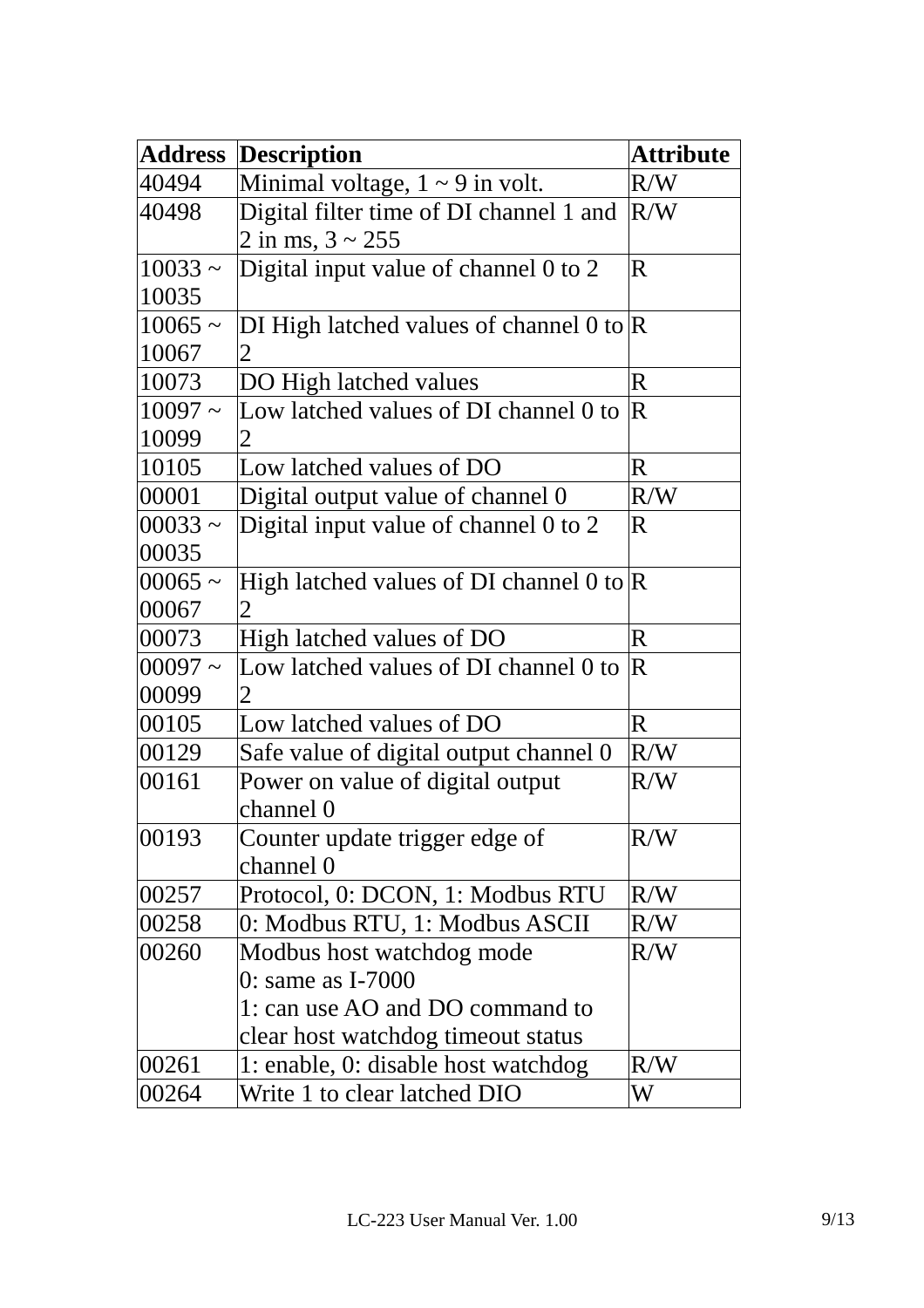| <b>Address</b> | <b>Description</b>                                 | <b>Attribute</b>        |
|----------------|----------------------------------------------------|-------------------------|
| 40494          | Minimal voltage, $1 \sim 9$ in volt.               | R/W                     |
| 40498          | Digital filter time of DI channel 1 and            | R/W                     |
|                | 2 in ms, $3 \sim 255$                              |                         |
| $10033 -$      | Digital input value of channel 0 to 2              | $\overline{\mathbf{R}}$ |
| 10035          |                                                    |                         |
| $10065 \sim$   | DI High latched values of channel 0 to $\mathbb R$ |                         |
| 10067          | $\mathbf 2$                                        |                         |
| 10073          | DO High latched values                             | $\bf R$                 |
| $10097 -$      | Low latched values of DI channel 0 to              | $\overline{R}$          |
| 10099          | 2                                                  |                         |
| 10105          | Low latched values of DO                           | $\bf R$                 |
| 00001          | Digital output value of channel 0                  | R/W                     |
| $00033 \sim$   | Digital input value of channel 0 to 2              | $\overline{\textbf{R}}$ |
| 00035          |                                                    |                         |
| $00065 \sim$   | High latched values of DI channel 0 to $\mathbb R$ |                         |
| 00067          |                                                    |                         |
| 00073          | High latched values of DO                          | $\bf R$                 |
| $00097 -$      | Low latched values of DI channel 0 to              | $\mathbf R$             |
| 00099          | 2                                                  |                         |
| 00105          | Low latched values of DO                           | $\bf R$                 |
| 00129          | Safe value of digital output channel 0             | R/W                     |
| 00161          | Power on value of digital output                   | R/W                     |
|                | channel 0                                          |                         |
| 00193          | Counter update trigger edge of                     | R/W                     |
|                | channel 0                                          |                         |
| 00257          | Protocol, 0: DCON, 1: Modbus RTU                   | R/W                     |
| 00258          | 0: Modbus RTU, 1: Modbus ASCII                     | R/W                     |
| 00260          | Modbus host watchdog mode                          | R/W                     |
|                | $0:$ same as I-7000                                |                         |
|                | 1: can use AO and DO command to                    |                         |
|                | clear host watchdog timeout status                 |                         |
| 00261          | 1: enable, 0: disable host watchdog                | R/W                     |
| 00264          | Write 1 to clear latched DIO                       | W                       |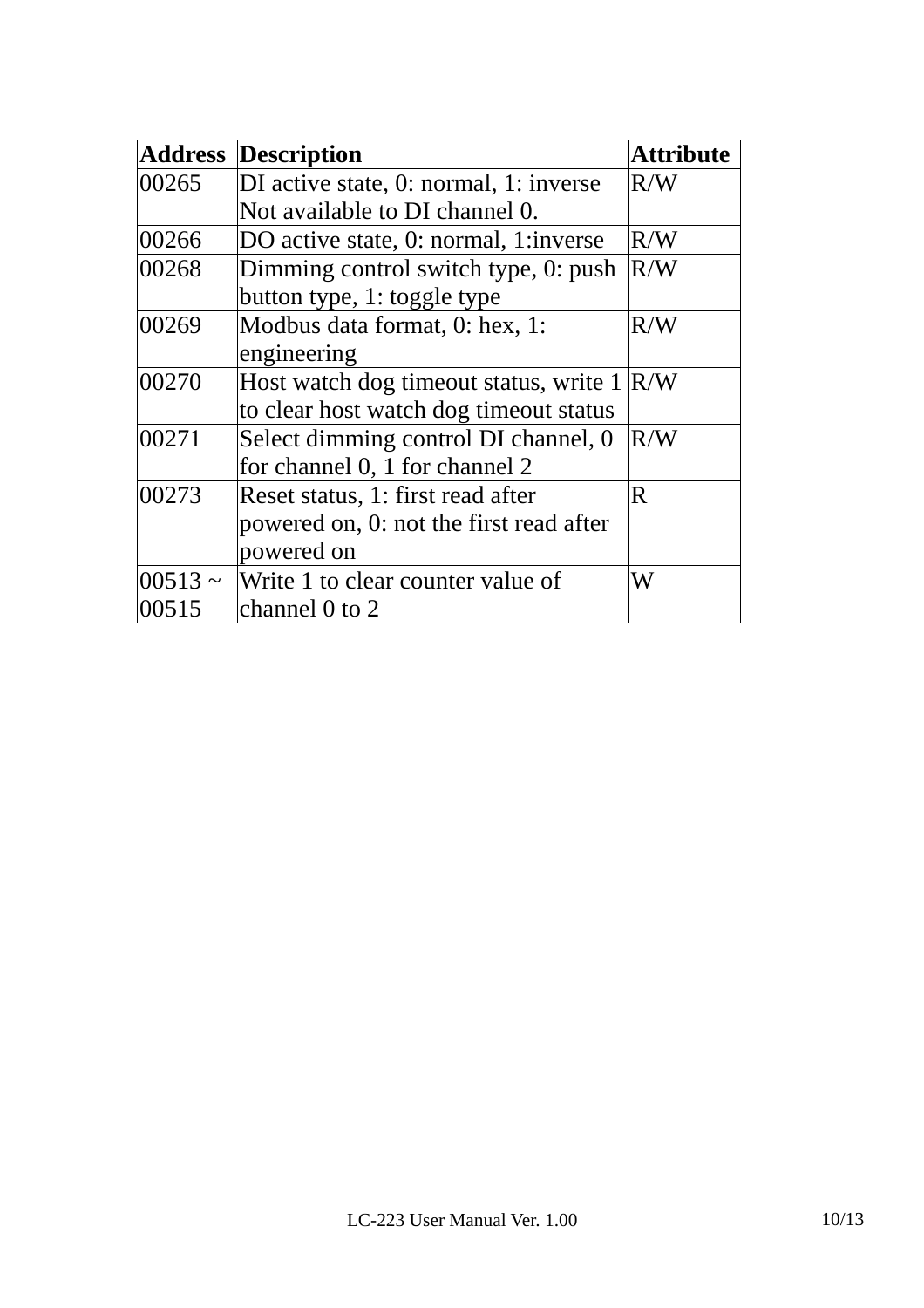| <b>Address</b> | <b>Description</b>                                | <b>Attribute</b> |
|----------------|---------------------------------------------------|------------------|
| 00265          | DI active state, 0: normal, 1: inverse            | R/W              |
|                | Not available to DI channel 0.                    |                  |
| 00266          | DO active state, 0: normal, 1: inverse            | R/W              |
| 00268          | Dimming control switch type, 0: push              | R/W              |
|                | button type, 1: toggle type                       |                  |
| 00269          | Modbus data format, 0: hex, 1:                    | R/W              |
|                | engineering                                       |                  |
| 00270          | Host watch dog timeout status, write $1 \times W$ |                  |
|                | to clear host watch dog timeout status            |                  |
| 00271          | Select dimming control DI channel, 0              | R/W              |
|                | for channel 0, 1 for channel 2                    |                  |
| 00273          | Reset status, 1: first read after                 | R.               |
|                | powered on, 0: not the first read after           |                  |
|                | powered on                                        |                  |
| $ 00513 -$     | Write 1 to clear counter value of                 | W                |
| 00515          | channel 0 to 2                                    |                  |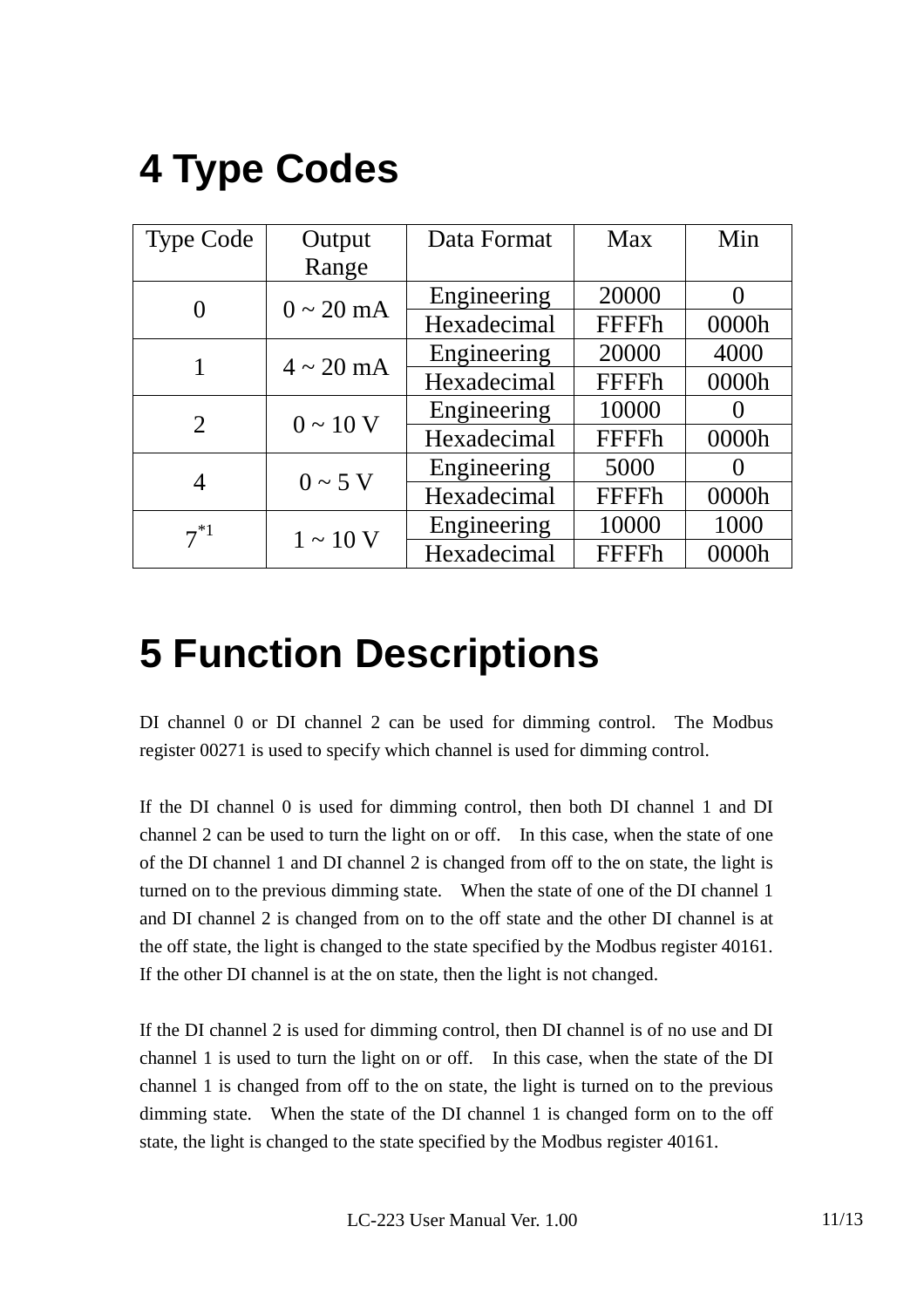# **4 Type Codes**

| <b>Type Code</b> | Output                | Data Format | Max          | Min      |
|------------------|-----------------------|-------------|--------------|----------|
|                  | Range                 |             |              |          |
|                  | $0 \sim 20$ mA        | Engineering | 20000        | $\Omega$ |
|                  |                       | Hexadecimal | <b>FFFFh</b> | 0000h    |
|                  | $4 \sim 20$ mA        | Engineering | 20000        | 4000     |
|                  |                       | Hexadecimal | <b>FFFFh</b> | 0000h    |
| 2                | $0 \sim 10 \text{ V}$ | Engineering | 10000        |          |
|                  |                       | Hexadecimal | <b>FFFFh</b> | 0000h    |
| 4                | $0 \sim 5$ V          | Engineering | 5000         |          |
|                  |                       | Hexadecimal | <b>FFFFh</b> | 0000h    |
| $7^{*1}$         | $1 \sim 10 \text{ V}$ | Engineering | 10000        | 1000     |
|                  |                       | Hexadecimal | <b>FFFFh</b> | 0000h    |

# **5 Function Descriptions**

DI channel 0 or DI channel 2 can be used for dimming control. The Modbus register 00271 is used to specify which channel is used for dimming control.

If the DI channel 0 is used for dimming control, then both DI channel 1 and DI channel 2 can be used to turn the light on or off. In this case, when the state of one of the DI channel 1 and DI channel 2 is changed from off to the on state, the light is turned on to the previous dimming state. When the state of one of the DI channel 1 and DI channel 2 is changed from on to the off state and the other DI channel is at the off state, the light is changed to the state specified by the Modbus register 40161. If the other DI channel is at the on state, then the light is not changed.

If the DI channel 2 is used for dimming control, then DI channel is of no use and DI channel 1 is used to turn the light on or off. In this case, when the state of the DI channel 1 is changed from off to the on state, the light is turned on to the previous dimming state. When the state of the DI channel 1 is changed form on to the off state, the light is changed to the state specified by the Modbus register 40161.